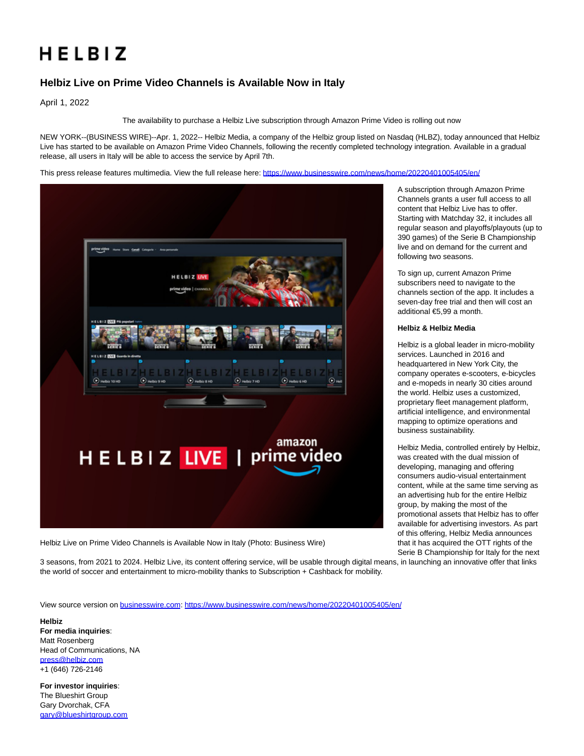## HELBIZ

## **Helbiz Live on Prime Video Channels is Available Now in Italy**

April 1, 2022

The availability to purchase a Helbiz Live subscription through Amazon Prime Video is rolling out now

NEW YORK--(BUSINESS WIRE)--Apr. 1, 2022-- Helbiz Media, a company of the Helbiz group listed on Nasdaq (HLBZ), today announced that Helbiz Live has started to be available on Amazon Prime Video Channels, following the recently completed technology integration. Available in a gradual release, all users in Italy will be able to access the service by April 7th.

This press release features multimedia. View the full release here:<https://www.businesswire.com/news/home/20220401005405/en/>



Helbiz Live on Prime Video Channels is Available Now in Italy (Photo: Business Wire)

3 seasons, from 2021 to 2024. Helbiz Live, its content offering service, will be usable through digital means, in launching an innovative offer that links the world of soccer and entertainment to micro-mobility thanks to Subscription + Cashback for mobility.

View source version on [businesswire.com:](http://businesswire.com/)<https://www.businesswire.com/news/home/20220401005405/en/>

**Helbiz For media inquiries**: Matt Rosenberg Head of Communications, NA [press@helbiz.com](mailto:press@helbiz.com) +1 (646) 726-2146

**For investor inquiries**: The Blueshirt Group Gary Dvorchak, CFA [gary@blueshirtgroup.com](mailto:gary@blueshirtgroup.com) A subscription through Amazon Prime Channels grants a user full access to all content that Helbiz Live has to offer. Starting with Matchday 32, it includes all regular season and playoffs/playouts (up to 390 games) of the Serie B Championship live and on demand for the current and following two seasons.

To sign up, current Amazon Prime subscribers need to navigate to the channels section of the app. It includes a seven-day free trial and then will cost an additional €5,99 a month.

## **Helbiz & Helbiz Media**

Helbiz is a global leader in micro-mobility services. Launched in 2016 and headquartered in New York City, the company operates e-scooters, e-bicycles and e-mopeds in nearly 30 cities around the world. Helbiz uses a customized, proprietary fleet management platform, artificial intelligence, and environmental mapping to optimize operations and business sustainability.

Helbiz Media, controlled entirely by Helbiz, was created with the dual mission of developing, managing and offering consumers audio-visual entertainment content, while at the same time serving as an advertising hub for the entire Helbiz group, by making the most of the promotional assets that Helbiz has to offer available for advertising investors. As part of this offering, Helbiz Media announces that it has acquired the OTT rights of the Serie B Championship for Italy for the next